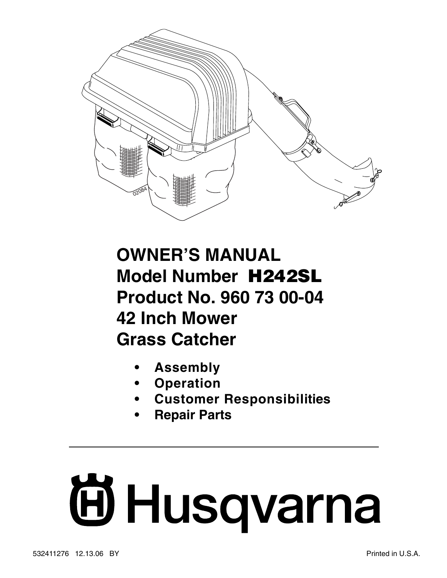

## **OWNER'S MANUAL Model Number H242SL Product No. 960 73 00-04 42 Inch Mower Grass Catcher**

- **Assembly**
- **Operation**
- **Customer Responsibilities**
- **Repair Parts**

# **Fillsqvarna**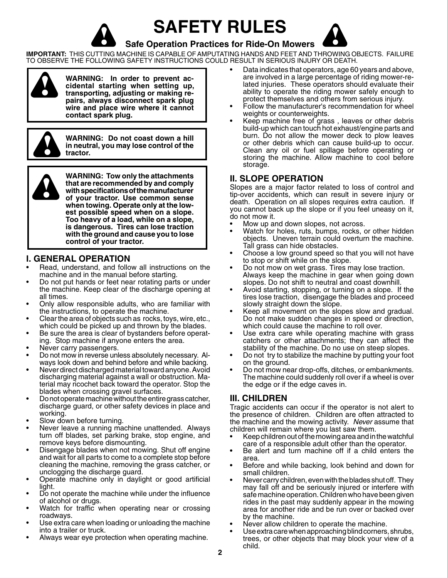**SAFETY RULES**





### **Safe Operation Practices for Ride-On Mowers**

**IMPORTANT:** THIS CUTTING MACHINE IS CAPABLE OF AMPUTATING HANDS AND FEET AND THROW ING OBJECTS. FAILURE TO OBSERVE THE FOLLOWING SAFETY INSTRUCTIONS COULD RESULT IN SERIOUS INJURY OR DEATH.



**WARNING: In order to prevent acci den tal starting when setting up,**  transporting, adjusting or making re**pairs, al ways dis con nect spark plug**  wire and place wire where it cannot **contact spark plug.** 



**WARNING: Do not coast down a hill in neutral, you may lose control of the tractor.**



**WARNING: Tow only the attachments that are rec om mend ed by and comply**  with specifications of the manufacturer **of your tractor. Use common sense when towing. Operate only at the lowest possible speed when on a slope. Too heavy of a load, while on a slope, is dan ger ous. Tires can lose trac tion with the ground and cause you to lose control of your tractor.**

### **I. GENERAL OPERATION**

- Read, understand, and follow all instructions on the machine and in the manual before starting.
- Do not put hands or feet near rotating parts or under the machine. Keep clear of the discharge opening at all times.
- Only allow responsible adults, who are familiar with the instructions, to operate the machine.
- Clear the area of objects such as rocks, toys, wire, etc., which could be picked up and thrown by the blades.
- Be sure the area is clear of bystanders before operating. Stop machine if anyone enters the area.
- Never carry passengers.
- Do not mow in reverse unless absolutely necessary. Always look down and behind before and while backing.
- Never direct discharged material toward anyone. Avoid discharging material against a wall or obstruction. Material may ricochet back toward the operator. Stop the blades when crossing gravel surfaces.
- Do not operate machine without the entire grass catcher, discharge guard, or other safety devices in place and working.
- Slow down before turning.
- Never leave a running machine unattended. Always turn off blades, set parking brake, stop engine, and remove keys before dismounting.
- Disengage blades when not mowing. Shut off engine and wait for all parts to come to a complete stop before cleaning the machine, removing the grass catcher, or unclogging the discharge guard.
- Operate machine only in daylight or good artificial light.
- Do not operate the machine while under the influence of alcohol or drugs.
- Watch for traffic when operating near or crossing roadways.
- Use extra care when loading or unloading the machine into a trailer or truck.
- Always wear eye protection when operating machine.
- Data indicates that operators, age 60 years and above, are involved in a large percentage of riding mower-related injuries. These operators should evaluate their ability to operate the riding mower safely enough to protect them selves and others from serious injury.
- Follow the manufacturer's recommendation for wheel weights or counterweights.
- Keep machine free of grass, leaves or other debris build-up which can touch hot exhaust/engine parts and burn. Do not allow the mower deck to plow leaves or other debris which can cause build-up to occur. Clean any oil or fuel spillage before operating or storing the machine. Allow machine to cool before storage.

### **II. SLOPE OPERATION**

Slopes are a major factor related to loss of control and tip-over accidents, which can result in severe injury or death. Operation on all slopes requires extra caution. If you cannot back up the slope or if you feel uneasy on it, do not mow it.

- Mow up and down slopes, not across.
- Watch for holes, ruts, bumps, rocks, or other hidden objects. Uneven terrain could overturn the machine. Tall grass can hide obstacles.
- Choose a low ground speed so that you will not have to stop or shift while on the slope.
- Do not mow on wet grass. Tires may lose traction. Always keep the machine in gear when going down slopes. Do not shift to neutral and coast downhill.
- Avoid starting, stopping, or turning on a slope. If the tires lose traction, disengage the blades and proceed slowly straight down the slope.
- Keep all movement on the slopes slow and gradual. Do not make sudden changes in speed or direction, which could cause the machine to roll over.
- Use extra care while operating machine with grass catchers or other attachments; they can affect the stability of the machine. Do no use on steep slopes.
- Do not try to stabilize the machine by putting your foot on the ground.
- Do not mow near drop-offs, ditches, or embankments. The machine could suddenly roll over if a wheel is over the edge or if the edge caves in.

### **III. CHILDREN**

Tragic accidents can occur if the operator is not alert to the presence of children. Children are often attracted to the machine and the mowing activity. Never assume that children will remain where you last saw them.

- Keep children out of the mowing area and in the watchful care of a responsible adult other than the operator.
- Be alert and turn machine off if a child enters the area.
- Before and while backing, look behind and down for small children.
- Never carry children, even with the blades shut off. They may fall off and be seriously injured or interfere with safe machine operation. Children who have been given rides in the past may suddenly appear in the mowing area for another ride and be run over or backed over by the machine.
- Never allow children to operate the machine.
- Use extra care when approaching blind corners, shrubs, trees, or other objects that may block your view of a child.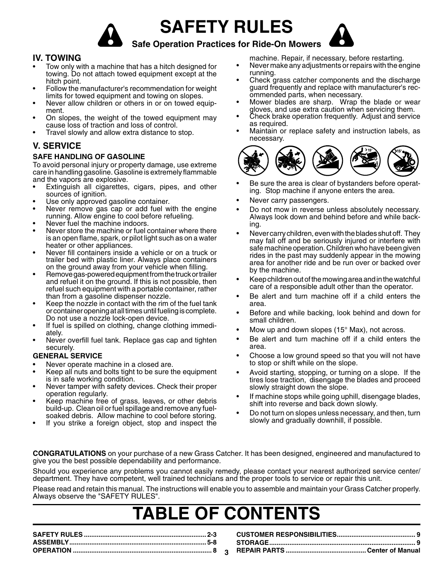**SAFETY RULES**





### **Safe Operation Practices for Ride-On Mowers**

### **IV. TOWING**

- Tow only with a machine that has a hitch designed for towing. Do not attach towed equipment except at the hitch point.
- Follow the manufacturer's recommendation for weight limits for towed equipment and towing on slopes.
- Never allow children or others in or on towed equipment.
- On slopes, the weight of the towed equipment may cause loss of traction and loss of control.
- Travel slowly and allow extra distance to stop.

### **V. SERVICE**

#### **SAFE HANDLING OF GASOLINE**

To avoid personal injury or property damage, use extreme care in handling gasoline. Gasoline is extremely flammable and the vapors are explosive.

- Extinguish all cigarettes, cigars, pipes, and other sources of ignition.
- Use only approved gasoline container.
- Never remove gas cap or add fuel with the engine running. Allow engine to cool before refueling.
- Never fuel the machine indoors.
- Never store the machine or fuel container where there is an open flame, spark, or pilot light such as on a water heater or other appliances.
- Never fill containers inside a vehicle or on a truck or trailer bed with plastic liner. Always place containers on the ground away from your vehicle when filling.
- Remove gas-powered equipment from the truck or trailer and refuel it on the ground. If this is not possible, then refuel such equipment with a portable container, rather than from a gasoline dispenser nozzle.
- Keep the nozzle in contact with the rim of the fuel tank or container opening at all times until fueling is complete. Do not use a nozzle lock-open device.
- If fuel is spilled on clothing, change clothing immediately.
- Never overfill fuel tank. Replace gas cap and tighten securely.

#### **GENERAL SERVICE**

- Never operate machine in a closed are.
- Keep all nuts and bolts tight to be sure the equipment is in safe working condition.
- Never tamper with safety devices. Check their proper operation regularly.
- Keep machine free of grass, leaves, or other debris build-up. Clean oil or fuel spillage and remove any fuelsoaked debris. Allow machine to cool before storing.
- If you strike a foreign object, stop and inspect the

machine. Repair, if necessary, before restarting.

- Never make any adjustments or repairs with the engine running.
- Check grass catcher components and the discharge guard frequently and replace with manufacturer's recommended parts, when necessary.
- Mower blades are sharp. Wrap the blade or wear gloves, and use extra caution when servicing them.
- Check brake operation frequently. Adjust and service as required.
- Maintain or replace safety and instruction labels, as necessary.



- Be sure the area is clear of bystanders before operating. Stop machine if anyone enters the area.
- Never carry passengers.
- Do not mow in reverse unless absolutely necessary. Always look down and behind before and while backing.
- Never carry children, even with the blades shut off. They may fall off and be seriously injured or interfere with safe machine operation. Children who have been given rides in the past may suddenly appear in the mowing area for another ride and be run over or backed over by the machine.
- Keep children out of the mowing area and in the watchful care of a responsible adult other than the operator.
- Be alert and turn machine off if a child enters the area.
- Before and while backing, look behind and down for small children.
- Mow up and down slopes  $(15^{\circ}$  Max), not across.
- Be alert and turn machine off if a child enters the area.
- Choose a low ground speed so that you will not have to stop or shift while on the slope.
- Avoid starting, stopping, or turning on a slope. If the tires lose traction, disengage the blades and proceed slowly straight down the slope.
- If machine stops while going uphill, disengage blades, shift into reverse and back down slowly.
- Do not turn on slopes unless necessary, and then, turn slowly and gradually downhill, if possible.

**CONGRATULATIONS** on your purchase of a new Grass Catcher. It has been designed, engineered and manufactured to give you the best possible dependability and performance.

Should you experience any problems you cannot easily remedy, please contact your nearest authorized service center/ department. They have competent, well trained technicians and the proper tools to service or repair this unit.

Please read and retain this manual. The instructions will enable you to assemble and maintain your Grass Catcher properly. Always observe the "SAFETY RULES".

# **TABLE OF CONTENTS**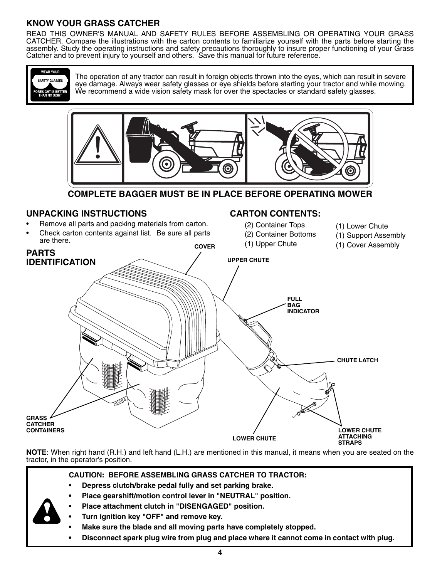### **KNOW YOUR GRASS CATCHER**

READ THIS OWNER'S MANUAL AND SAFETY RULES BEFORE ASSEMBLING OR OPERATING YOUR GRASS CATCHER. Compare the illustrations with the carton contents to familiarize yourself with the parts before starting the assembly. Study the operating instructions and safety precautions thoroughly to insure proper functioning of your Grass Catcher and to prevent injury to yourself and others. Save this manual for future reference.



The operation of any tractor can result in foreign objects thrown into the eyes, which can result in severe eye damage. Always wear safety glasses or eye shields before starting your tractor and while mowing. We recommend a wide vision safety mask for over the spectacles or standard safety glasses.



**COMPLETE BAGGER MUST BE IN PLACE BEFORE OPERATING MOWER**

### **UNPACKING INSTRUCTIONS**

- Remove all parts and packing materials from carton.
- Check carton contents against list. Be sure all parts are there.

### **CARTON CONTENTS:**

- (2) Container Tops
- (2) Container Bottoms
- 
- (1) Lower Chute (1) Support Assembly
	- (1) Cover Assembly



**NOTE**: When right hand (R.H.) and left hand (L.H.) are mentioned in this manual, it means when you are seated on the tractor, in the operator's position.

#### **CAUTION: BEFORE ASSEMBLING GRASS CATCHER TO TRACTOR:**

- **Depress clutch/brake pedal fully and set parking brake.**
- **Place gearshift/motion control lever in "NEUTRAL" position.**
- **Place attachment clutch in "DISENGAGED" position.**
- **Turn ignition key "OFF" and remove key.**
- **Make sure the blade and all moving parts have completely stopped.**
- **Disconnect spark plug wire from plug and place where it cannot come in contact with plug.**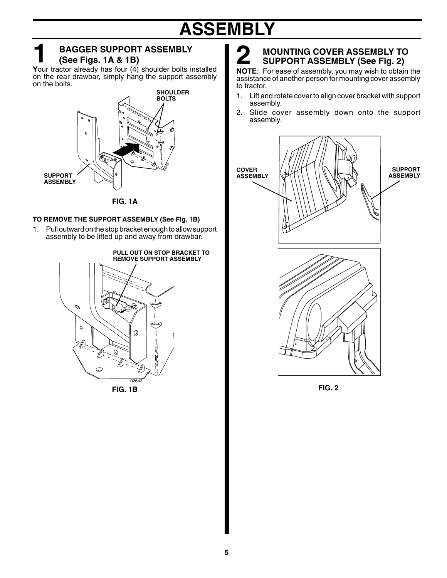# **ASSEMBLY**

### **BAGGER SUPPORT ASSEMBLY (See Figs. 1A & 1B) BAGGER SUPPORT ASSEMBLY**<br>
(See Figs. 1A & 1B)<br> **Your tractor already has four (4) shoulder bolts installed**

on the rear drawbar, simply hang the support assembly on the bolts.



**FIG. 1A**

#### **TO REMOVE THE SUPPORT ASSEMBLY (See Fig. 1B)**

1. Pull outward on the stop bracket enough to allow support assembly to be lifted up and away from drawbar.



### **2** MOUNTING COVER ASSEMBLY TO<br>SUPPORT ASSEMBLY (See Fig. 2)<br>NOTE: For ease of assembly, you may wish to obtain the  **MOUNTING COVER ASSEMBLY TO SUPPORT ASSEMBLY (See Fig. 2)**

assistance of another person for mounting cover assembly to tractor.

- 1. Lift and rotate cover to align cover bracket with support assembly.
- 2. Slide cover assembly down onto the support assembly.



**FIG. 2**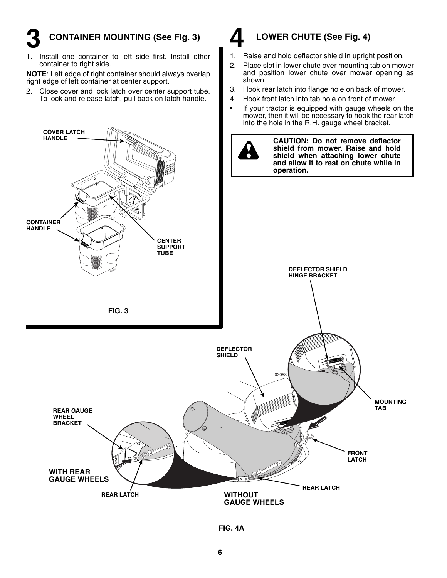### **CONTAINER MOUNTING (See Fig. 3) 3**

1. Install one container to left side first. Install other container to right side.

**NOTE:** Left edge of right container should always overlap right edge of left container at center support.

2. Close cover and lock latch over center support tube. To lock and release latch, pull back on latch handle.



### **LOWER CHUTE (See Fig. 4)**

- 1. Raise and hold deflector shield in upright position.
- 2. Place slot in lower chute over mounting tab on mower and position lower chute over mower opening as shown.
- 3. Hook rear latch into flange hole on back of mower.
- 4. Hook front latch into tab hole on front of mower.
- If your tractor is equipped with gauge wheels on the mower, then it will be necessary to hook the rear latch into the hole in the R.H. gauge wheel bracket.

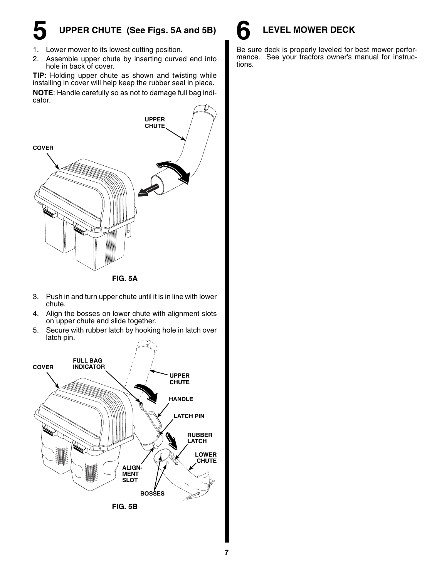# **5 UPPER CHUTE (See Figs. 5A and 5B)**

- 1. Lower mower to its lowest cutting position.
- 2. Assemble upper chute by inserting curved end into hole in back of cover.

**TIP:** Holding upper chute as shown and twisting while installing in cover will help keep the rubber seal in place. **NOTE:** Handle carefully so as not to damage full bag indicator.



- 3. Push in and turn upper chute until it is in line with lower chute.
- 4. Align the bosses on lower chute with alignment slots on upper chute and slide together.
- 5. Secure with rubber latch by hooking hole in latch over latch pin.





Be sure deck is properly leveled for best mower performance. See your tractors owner's manual for instructions.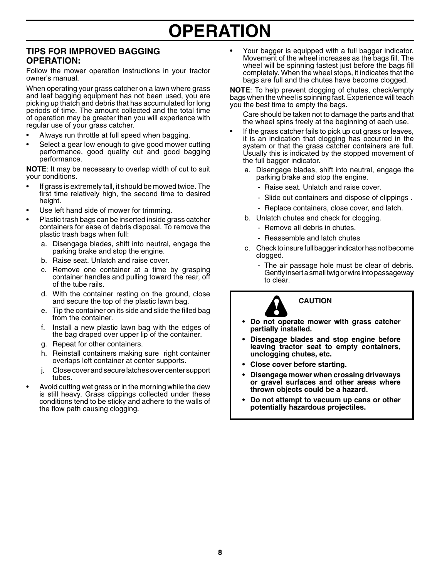## **OPERATION**

### **TIPS FOR IMPROVED BAGGING OPERATION:**

Follow the mower operation instructions in your tractor owner's manual.

When operating your grass catcher on a lawn where grass and leaf bagging equipment has not been used, you are picking up thatch and debris that has accumulated for long periods of time. The amount collected and the total time of operation may be greater than you will experience with regular use of your grass catcher.

- Always run throttle at full speed when bagging.
- Select a gear low enough to give good mower cutting performance, good quality cut and good bagging performance.

**NOTE**: It may be necessary to overlap width of cut to suit your conditions.

- If grass is extremely tall, it should be mowed twice. The first time relatively high, the second time to desired height.
- Use left hand side of mower for trimming.
- Plastic trash bags can be inserted inside grass catcher containers for ease of debris disposal. To remove the plastic trash bags when full:
	- a. Disengage blades, shift into neutral, engage the parking brake and stop the engine.
	- b. Raise seat. Unlatch and raise cover.
	- c. Remove one container at a time by grasping container handles and pulling toward the rear, off of the tube rails.
	- d. With the container resting on the ground, close and secure the top of the plastic lawn bag.
	- e. Tip the container on its side and slide the filled bag from the container.
	- f. Install a new plastic lawn bag with the edges of the bag draped over upper lip of the container.
	- g. Repeat for other containers.
	- h. Reinstall containers making sure right container overlaps left container at center supports.
	- j. Close cover and secure latches over center support tubes.
- Avoid cutting wet grass or in the morning while the dew is still heavy. Grass clippings collected under these conditions tend to be sticky and adhere to the walls of the flow path causing clogging.

Your bagger is equipped with a full bagger indicator. Movement of the wheel increases as the bags fill. The wheel will be spinning fastest just before the bags fill completely. When the wheel stops, it indicates that the bags are full and the chutes have become clogged.

**NOTE**: To help prevent clogging of chutes, check/empty bags when the wheel is spinning fast. Experience will teach you the best time to empty the bags.

 Care should be taken not to damage the parts and that the wheel spins freely at the beginning of each use.

- If the grass catcher fails to pick up cut grass or leaves, it is an indication that clogging has occurred in the system or that the grass catcher containers are full. Usually this is indicated by the stopped movement of the full bagger indicator.
	- a. Disengage blades, shift into neutral, engage the parking brake and stop the engine.
		- Raise seat. Unlatch and raise cover.
		- Slide out containers and dispose of clippings.
		- Replace containers, close cover, and latch.
	- b. Unlatch chutes and check for clogging.
		- Remove all debris in chutes.
		- Reassemble and latch chutes
	- c. Check to insure full bagger indicator has not become clogged.
		- The air passage hole must be clear of debris. Gently insert a small twig or wire into passageway to clear.



#### **CAUTION**

- Do not operate mower with grass catcher **par tial ly installed.**
- **Disengage blades and stop engine before** leaving tractor seat to empty containers, **un clog ging chutes, etc.**
- **Close cover before starting.**
- **Disengage mower when crossing drive ways or gravel surfaces and other areas where thrown objects could be a hazard.**
- **Do not attempt to vacuum up cans or other**  potentially hazardous projectiles.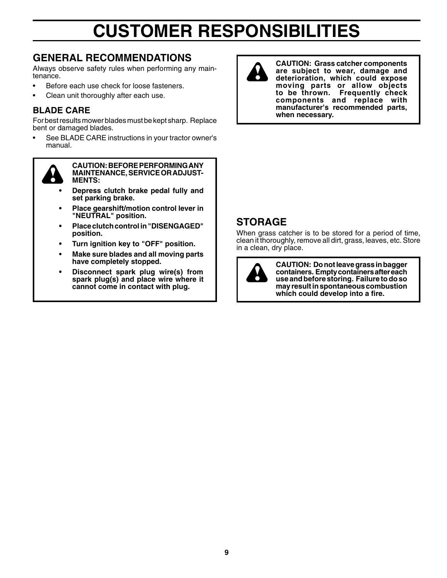# **CUSTOMER RESPONSIBILITIES**

### **GENERAL RECOMMENDATIONS**

Always observe safety rules when performing any maintenance.

- Before each use check for loose fasteners.
- Clean unit thoroughly after each use.

### **BLADE CARE**

For best results mower blades must be kept sharp. Replace bent or damaged blades.

• See BLADE CARE instructions in your tractor owner's manual.



 **CAUTION: BEFORE PERFORMING ANY MAIN TE NANCE, SERVICE OR AD JUST - MENTS:**

- **Depress clutch brake pedal fully and set parking brake.**
- **Place gearshift/motion control lever in "NEU TRAL" position.**
- **Place clutch control in "DIS EN GAGED" po si tion.**
- **Turn ignition key to "OFF" position.**
- **Make sure blades and all moving parts have completely stopped.**
- **Disconnect spark plug wire(s) from spark plug(s) and place wire where it cannot come in contact with plug.**



**CAUTION: Grass catcher components are subject to wear, damage and deterioration, which could expose moving parts or allow objects to be thrown. Frequently check components and replace with manufacturer's recommended parts, when necessary.**

### **STORAGE**

When grass catcher is to be stored for a period of time, clean it thoroughly, remove all dirt, grass, leaves, etc. Store in a clean, dry place.



**CAUTION: Do not leave grass in bagger containers. Empty containers after each use and before storing. Failure to do so may result in spontaneous com bus tion**  which could develop into a fire.